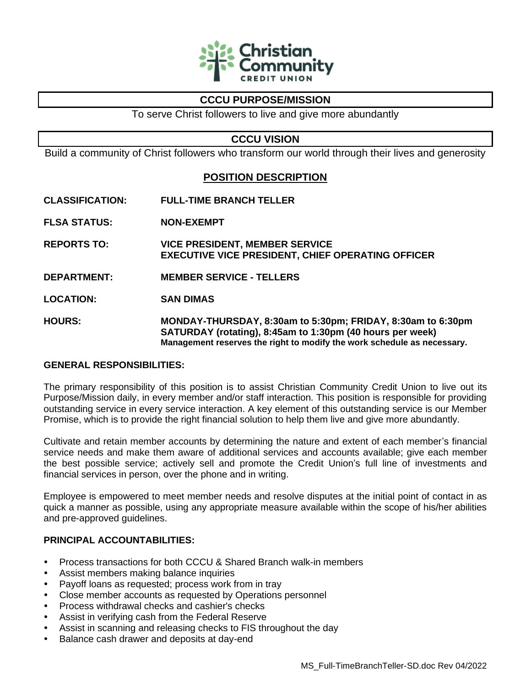

# **CCCU PURPOSE/MISSION**

To serve Christ followers to live and give more abundantly

## **CCCU VISION**

Build a community of Christ followers who transform our world through their lives and generosity

## **POSITION DESCRIPTION**

- **CLASSIFICATION: FULL-TIME BRANCH TELLER**
- **FLSA STATUS: NON-EXEMPT**
- **REPORTS TO: VICE PRESIDENT, MEMBER SERVICE EXECUTIVE VICE PRESIDENT, CHIEF OPERATING OFFICER**
- **DEPARTMENT: MEMBER SERVICE - TELLERS**
- **LOCATION: SAN DIMAS**
- **HOURS: MONDAY-THURSDAY, 8:30am to 5:30pm; FRIDAY, 8:30am to 6:30pm SATURDAY (rotating), 8:45am to 1:30pm (40 hours per week) Management reserves the right to modify the work schedule as necessary.**

## **GENERAL RESPONSIBILITIES:**

The primary responsibility of this position is to assist Christian Community Credit Union to live out its Purpose/Mission daily, in every member and/or staff interaction. This position is responsible for providing outstanding service in every service interaction. A key element of this outstanding service is our Member Promise, which is to provide the right financial solution to help them live and give more abundantly.

Cultivate and retain member accounts by determining the nature and extent of each member's financial service needs and make them aware of additional services and accounts available; give each member the best possible service; actively sell and promote the Credit Union's full line of investments and financial services in person, over the phone and in writing.

Employee is empowered to meet member needs and resolve disputes at the initial point of contact in as quick a manner as possible, using any appropriate measure available within the scope of his/her abilities and pre-approved guidelines.

## **PRINCIPAL ACCOUNTABILITIES:**

- Process transactions for both CCCU & Shared Branch walk-in members
- Assist members making balance inquiries
- Payoff loans as requested; process work from in tray
- Close member accounts as requested by Operations personnel
- Process withdrawal checks and cashier's checks
- Assist in verifying cash from the Federal Reserve
- Assist in scanning and releasing checks to FIS throughout the day
- Balance cash drawer and deposits at day-end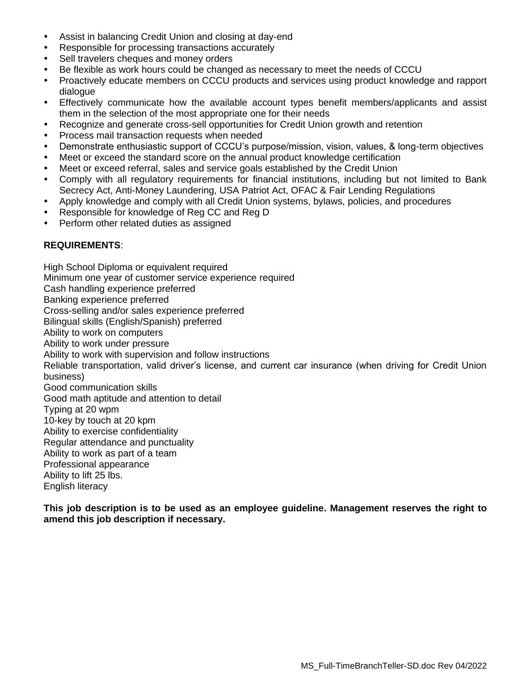- Assist in balancing Credit Union and closing at day-end
- Responsible for processing transactions accurately
- Sell travelers cheques and money orders
- Be flexible as work hours could be changed as necessary to meet the needs of CCCU
- Proactively educate members on CCCU products and services using product knowledge and rapport dialogue
- Effectively communicate how the available account types benefit members/applicants and assist them in the selection of the most appropriate one for their needs
- Recognize and generate cross-sell opportunities for Credit Union growth and retention
- Process mail transaction requests when needed
- Demonstrate enthusiastic support of CCCU's purpose/mission, vision, values, & long-term objectives
- Meet or exceed the standard score on the annual product knowledge certification
- Meet or exceed referral, sales and service goals established by the Credit Union
- Comply with all regulatory requirements for financial institutions, including but not limited to Bank Secrecy Act, Anti-Money Laundering, USA Patriot Act, OFAC & Fair Lending Regulations
- Apply knowledge and comply with all Credit Union systems, bylaws, policies, and procedures
- Responsible for knowledge of Reg CC and Reg D
- Perform other related duties as assigned

## **REQUIREMENTS**:

High School Diploma or equivalent required Minimum one year of customer service experience required Cash handling experience preferred Banking experience preferred Cross-selling and/or sales experience preferred Bilingual skills (English/Spanish) preferred Ability to work on computers Ability to work under pressure Ability to work with supervision and follow instructions Reliable transportation, valid driver's license, and current car insurance (when driving for Credit Union business) Good communication skills Good math aptitude and attention to detail Typing at 20 wpm 10-key by touch at 20 kpm Ability to exercise confidentiality Regular attendance and punctuality Ability to work as part of a team Professional appearance Ability to lift 25 lbs. English literacy

**This job description is to be used as an employee guideline. Management reserves the right to amend this job description if necessary.**